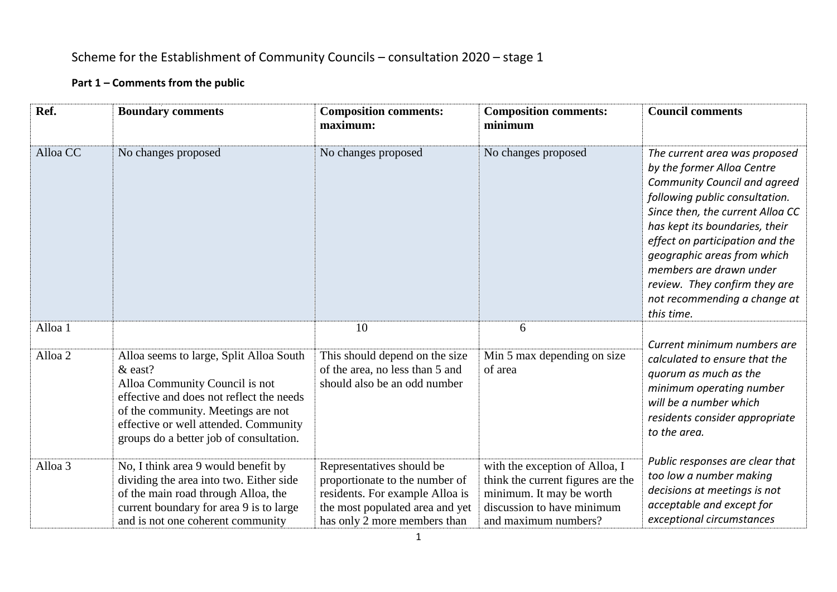## Scheme for the Establishment of Community Councils – consultation 2020 – stage 1

## **Part 1 – Comments from the public**

| Ref.     | <b>Boundary comments</b>                                                                                                                                                                                                                                     | <b>Composition comments:</b><br>maximum:                                                                                                                          | <b>Composition comments:</b><br>minimum                                                                                                               | <b>Council comments</b>                                                                                                                                                                                                                                                                                                                                                                |
|----------|--------------------------------------------------------------------------------------------------------------------------------------------------------------------------------------------------------------------------------------------------------------|-------------------------------------------------------------------------------------------------------------------------------------------------------------------|-------------------------------------------------------------------------------------------------------------------------------------------------------|----------------------------------------------------------------------------------------------------------------------------------------------------------------------------------------------------------------------------------------------------------------------------------------------------------------------------------------------------------------------------------------|
| Alloa CC | No changes proposed                                                                                                                                                                                                                                          | No changes proposed                                                                                                                                               | No changes proposed                                                                                                                                   | The current area was proposed<br>by the former Alloa Centre<br><b>Community Council and agreed</b><br>following public consultation.<br>Since then, the current Alloa CC<br>has kept its boundaries, their<br>effect on participation and the<br>geographic areas from which<br>members are drawn under<br>review. They confirm they are<br>not recommending a change at<br>this time. |
| Alloa 1  |                                                                                                                                                                                                                                                              | 10                                                                                                                                                                | 6                                                                                                                                                     |                                                                                                                                                                                                                                                                                                                                                                                        |
| Alloa 2  | Alloa seems to large, Split Alloa South<br>$&$ east?<br>Alloa Community Council is not<br>effective and does not reflect the needs<br>of the community. Meetings are not<br>effective or well attended. Community<br>groups do a better job of consultation. | This should depend on the size<br>of the area, no less than 5 and<br>should also be an odd number                                                                 | Min 5 max depending on size<br>of area                                                                                                                | Current minimum numbers are<br>calculated to ensure that the<br>quorum as much as the<br>minimum operating number<br>will be a number which<br>residents consider appropriate<br>to the area.                                                                                                                                                                                          |
| Alloa 3  | No, I think area 9 would benefit by<br>dividing the area into two. Either side<br>of the main road through Alloa, the<br>current boundary for area 9 is to large<br>and is not one coherent community                                                        | Representatives should be<br>proportionate to the number of<br>residents. For example Alloa is<br>the most populated area and yet<br>has only 2 more members than | with the exception of Alloa, I<br>think the current figures are the<br>minimum. It may be worth<br>discussion to have minimum<br>and maximum numbers? | Public responses are clear that<br>too low a number making<br>decisions at meetings is not<br>acceptable and except for<br>exceptional circumstances                                                                                                                                                                                                                                   |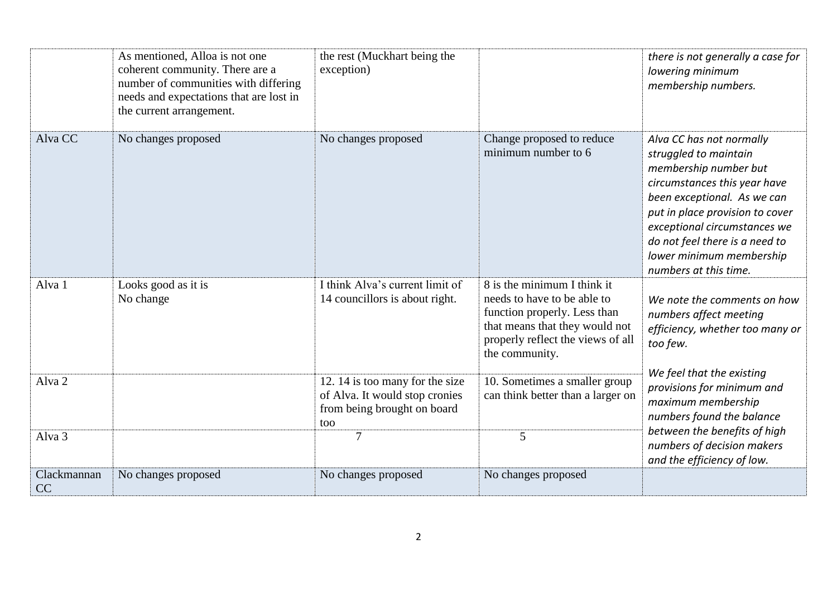|                   | As mentioned, Alloa is not one<br>coherent community. There are a<br>number of communities with differing<br>needs and expectations that are lost in<br>the current arrangement. | the rest (Muckhart being the<br>exception)                                                                                |                                                                                                                                                                                     | there is not generally a case for<br>lowering minimum<br>membership numbers.                                                                                                                                                                                                                        |
|-------------------|----------------------------------------------------------------------------------------------------------------------------------------------------------------------------------|---------------------------------------------------------------------------------------------------------------------------|-------------------------------------------------------------------------------------------------------------------------------------------------------------------------------------|-----------------------------------------------------------------------------------------------------------------------------------------------------------------------------------------------------------------------------------------------------------------------------------------------------|
| Alva CC           | No changes proposed                                                                                                                                                              | No changes proposed                                                                                                       | Change proposed to reduce<br>minimum number to 6                                                                                                                                    | Alva CC has not normally<br>struggled to maintain<br>membership number but<br>circumstances this year have<br>been exceptional. As we can<br>put in place provision to cover<br>exceptional circumstances we<br>do not feel there is a need to<br>lower minimum membership<br>numbers at this time. |
| Alva 1            | Looks good as it is<br>No change                                                                                                                                                 | I think Alva's current limit of<br>14 councillors is about right.                                                         | 8 is the minimum I think it<br>needs to have to be able to<br>function properly. Less than<br>that means that they would not<br>properly reflect the views of all<br>the community. | We note the comments on how<br>numbers affect meeting<br>efficiency, whether too many or<br>too few.                                                                                                                                                                                                |
| Alva <sub>2</sub> |                                                                                                                                                                                  | 12. 14 is too many for the size<br>of Alva. It would stop cronies<br>from being brought on board<br>too<br>$\overline{7}$ | 10. Sometimes a smaller group<br>can think better than a larger on                                                                                                                  | We feel that the existing<br>provisions for minimum and<br>maximum membership<br>numbers found the balance<br>between the benefits of high                                                                                                                                                          |
| Alva <sub>3</sub> |                                                                                                                                                                                  |                                                                                                                           | 5                                                                                                                                                                                   | numbers of decision makers<br>and the efficiency of low.                                                                                                                                                                                                                                            |
| Clackmannan<br>CC | No changes proposed                                                                                                                                                              | No changes proposed                                                                                                       | No changes proposed                                                                                                                                                                 |                                                                                                                                                                                                                                                                                                     |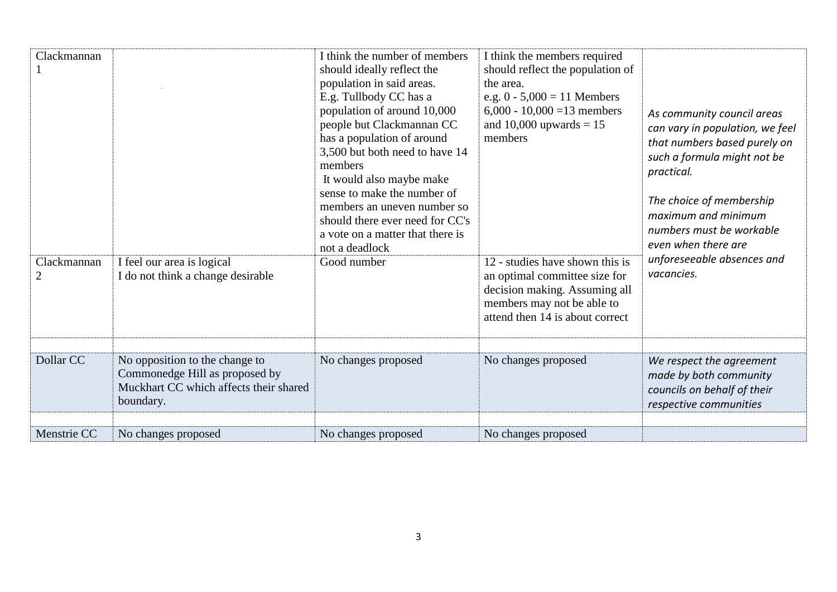| Clackmannan<br>Clackmannan<br>$\overline{2}$ | I feel our area is logical<br>I do not think a change desirable                                                         | I think the number of members<br>should ideally reflect the<br>population in said areas.<br>E.g. Tullbody CC has a<br>population of around 10,000<br>people but Clackmannan CC<br>has a population of around<br>3,500 but both need to have 14<br>members<br>It would also maybe make<br>sense to make the number of<br>members an uneven number so<br>should there ever need for CC's<br>a vote on a matter that there is<br>not a deadlock<br>Good number | I think the members required<br>should reflect the population of<br>the area.<br>e.g. $0 - 5,000 = 11$ Members<br>6,000 - 10,000 = 13 members<br>and 10,000 upwards $= 15$<br>members<br>12 - studies have shown this is<br>an optimal committee size for<br>decision making. Assuming all<br>members may not be able to<br>attend then 14 is about correct | As community council areas<br>can vary in population, we feel<br>that numbers based purely on<br>such a formula might not be<br>practical.<br>The choice of membership<br>maximum and minimum<br>numbers must be workable<br>even when there are<br>unforeseeable absences and<br>vacancies. |
|----------------------------------------------|-------------------------------------------------------------------------------------------------------------------------|-------------------------------------------------------------------------------------------------------------------------------------------------------------------------------------------------------------------------------------------------------------------------------------------------------------------------------------------------------------------------------------------------------------------------------------------------------------|-------------------------------------------------------------------------------------------------------------------------------------------------------------------------------------------------------------------------------------------------------------------------------------------------------------------------------------------------------------|----------------------------------------------------------------------------------------------------------------------------------------------------------------------------------------------------------------------------------------------------------------------------------------------|
| Dollar CC                                    | No opposition to the change to<br>Commonedge Hill as proposed by<br>Muckhart CC which affects their shared<br>boundary. | No changes proposed                                                                                                                                                                                                                                                                                                                                                                                                                                         | No changes proposed                                                                                                                                                                                                                                                                                                                                         | We respect the agreement<br>made by both community<br>councils on behalf of their<br>respective communities                                                                                                                                                                                  |
| Menstrie CC                                  | No changes proposed                                                                                                     | No changes proposed                                                                                                                                                                                                                                                                                                                                                                                                                                         | No changes proposed                                                                                                                                                                                                                                                                                                                                         |                                                                                                                                                                                                                                                                                              |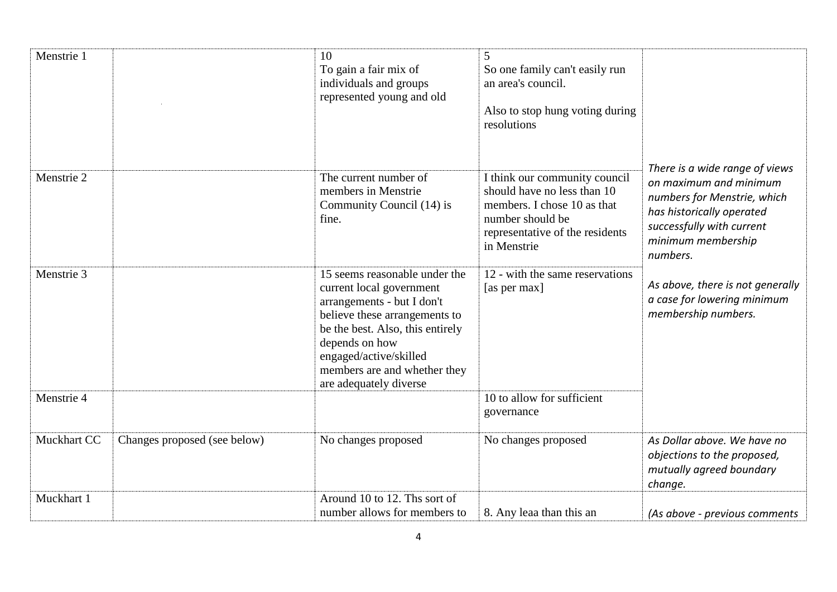| Menstrie 1  |                              | 10<br>To gain a fair mix of<br>individuals and groups<br>represented young and old                                                                                                                                                                                 | 5<br>So one family can't easily run<br>an area's council.<br>Also to stop hung voting during<br>resolutions                                                       |                                                                                                                                                                                     |
|-------------|------------------------------|--------------------------------------------------------------------------------------------------------------------------------------------------------------------------------------------------------------------------------------------------------------------|-------------------------------------------------------------------------------------------------------------------------------------------------------------------|-------------------------------------------------------------------------------------------------------------------------------------------------------------------------------------|
| Menstrie 2  |                              | The current number of<br>members in Menstrie<br>Community Council (14) is<br>fine.                                                                                                                                                                                 | I think our community council<br>should have no less than 10<br>members. I chose 10 as that<br>number should be<br>representative of the residents<br>in Menstrie | There is a wide range of views<br>on maximum and minimum<br>numbers for Menstrie, which<br>has historically operated<br>successfully with current<br>minimum membership<br>numbers. |
| Menstrie 3  |                              | 15 seems reasonable under the<br>current local government<br>arrangements - but I don't<br>believe these arrangements to<br>be the best. Also, this entirely<br>depends on how<br>engaged/active/skilled<br>members are and whether they<br>are adequately diverse | 12 - with the same reservations<br>[as per max]                                                                                                                   | As above, there is not generally<br>a case for lowering minimum<br>membership numbers.                                                                                              |
| Menstrie 4  |                              |                                                                                                                                                                                                                                                                    | 10 to allow for sufficient<br>governance                                                                                                                          |                                                                                                                                                                                     |
| Muckhart CC | Changes proposed (see below) | No changes proposed                                                                                                                                                                                                                                                | No changes proposed                                                                                                                                               | As Dollar above. We have no<br>objections to the proposed,<br>mutually agreed boundary<br>change.                                                                                   |
| Muckhart 1  |                              | Around 10 to 12. This sort of<br>number allows for members to                                                                                                                                                                                                      | 8. Any leaa than this an                                                                                                                                          | (As above - previous comments                                                                                                                                                       |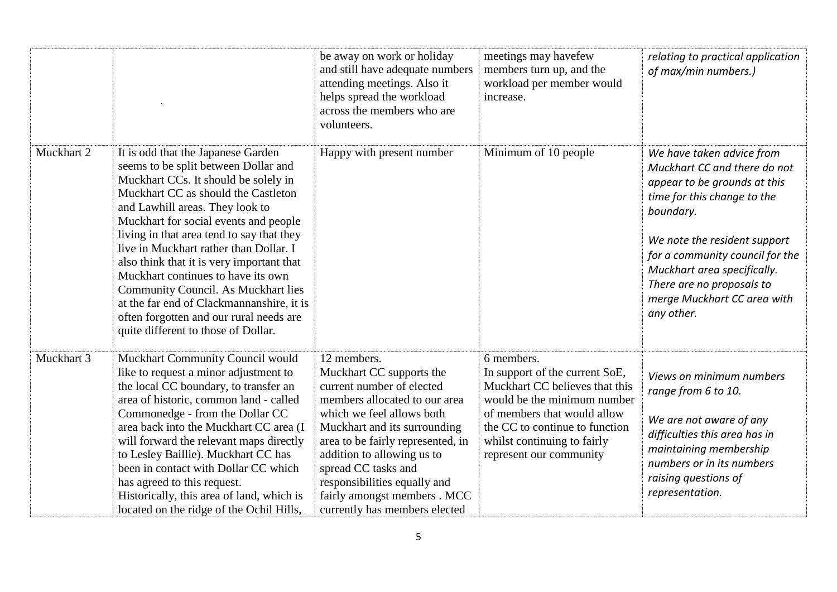|            |                                                                                                                                                                                                                                                                                                                                                                                                                                                                                                                                                                                              | be away on work or holiday<br>and still have adequate numbers<br>attending meetings. Also it<br>helps spread the workload<br>across the members who are<br>volunteers.                                                                                                                                                                                        | meetings may havefew<br>members turn up, and the<br>workload per member would<br>increase.                                                                                                                                               | relating to practical application<br>of max/min numbers.)                                                                                                                                                                                                                                                         |
|------------|----------------------------------------------------------------------------------------------------------------------------------------------------------------------------------------------------------------------------------------------------------------------------------------------------------------------------------------------------------------------------------------------------------------------------------------------------------------------------------------------------------------------------------------------------------------------------------------------|---------------------------------------------------------------------------------------------------------------------------------------------------------------------------------------------------------------------------------------------------------------------------------------------------------------------------------------------------------------|------------------------------------------------------------------------------------------------------------------------------------------------------------------------------------------------------------------------------------------|-------------------------------------------------------------------------------------------------------------------------------------------------------------------------------------------------------------------------------------------------------------------------------------------------------------------|
| Muckhart 2 | It is odd that the Japanese Garden<br>seems to be split between Dollar and<br>Muckhart CCs. It should be solely in<br>Muckhart CC as should the Castleton<br>and Lawhill areas. They look to<br>Muckhart for social events and people<br>living in that area tend to say that they<br>live in Muckhart rather than Dollar. I<br>also think that it is very important that<br>Muckhart continues to have its own<br><b>Community Council. As Muckhart lies</b><br>at the far end of Clackmannanshire, it is<br>often forgotten and our rural needs are<br>quite different to those of Dollar. | Happy with present number                                                                                                                                                                                                                                                                                                                                     | Minimum of 10 people                                                                                                                                                                                                                     | We have taken advice from<br>Muckhart CC and there do not<br>appear to be grounds at this<br>time for this change to the<br>boundary.<br>We note the resident support<br>for a community council for the<br>Muckhart area specifically.<br>There are no proposals to<br>merge Muckhart CC area with<br>any other. |
| Muckhart 3 | Muckhart Community Council would<br>like to request a minor adjustment to<br>the local CC boundary, to transfer an<br>area of historic, common land - called<br>Commonedge - from the Dollar CC<br>area back into the Muckhart CC area (I<br>will forward the relevant maps directly<br>to Lesley Baillie). Muckhart CC has<br>been in contact with Dollar CC which<br>has agreed to this request.<br>Historically, this area of land, which is<br>located on the ridge of the Ochil Hills,                                                                                                  | 12 members.<br>Muckhart CC supports the<br>current number of elected<br>members allocated to our area<br>which we feel allows both<br>Muckhart and its surrounding<br>area to be fairly represented, in<br>addition to allowing us to<br>spread CC tasks and<br>responsibilities equally and<br>fairly amongst members . MCC<br>currently has members elected | 6 members.<br>In support of the current SoE,<br>Muckhart CC believes that this<br>would be the minimum number<br>of members that would allow<br>the CC to continue to function<br>whilst continuing to fairly<br>represent our community | Views on minimum numbers<br>range from 6 to 10.<br>We are not aware of any<br>difficulties this area has in<br>maintaining membership<br>numbers or in its numbers<br>raising questions of<br>representation.                                                                                                     |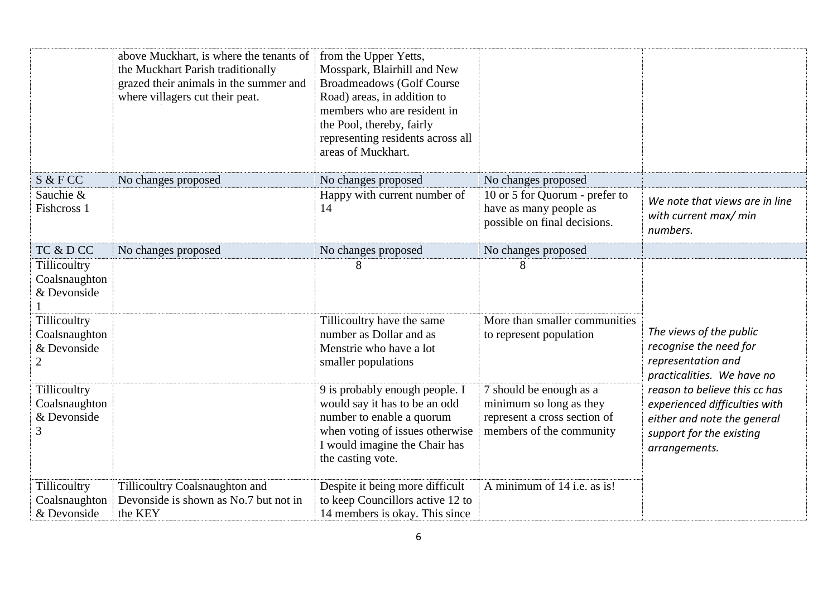|                                                                               | above Muckhart, is where the tenants of<br>the Muckhart Parish traditionally<br>grazed their animals in the summer and<br>where villagers cut their peat. | from the Upper Yetts,<br>Mosspark, Blairhill and New<br><b>Broadmeadows (Golf Course)</b><br>Road) areas, in addition to<br>members who are resident in<br>the Pool, thereby, fairly<br>representing residents across all<br>areas of Muckhart. |                                                                                                                |                                                                                                                                            |
|-------------------------------------------------------------------------------|-----------------------------------------------------------------------------------------------------------------------------------------------------------|-------------------------------------------------------------------------------------------------------------------------------------------------------------------------------------------------------------------------------------------------|----------------------------------------------------------------------------------------------------------------|--------------------------------------------------------------------------------------------------------------------------------------------|
| S & F CC                                                                      | No changes proposed                                                                                                                                       | No changes proposed                                                                                                                                                                                                                             | No changes proposed                                                                                            |                                                                                                                                            |
| Sauchie &<br>Fishcross 1                                                      |                                                                                                                                                           | Happy with current number of<br>14                                                                                                                                                                                                              | 10 or 5 for Quorum - prefer to<br>have as many people as<br>possible on final decisions.                       | We note that views are in line<br>with current max/ min<br>numbers.                                                                        |
| TC & D CC                                                                     | No changes proposed                                                                                                                                       | No changes proposed                                                                                                                                                                                                                             | No changes proposed                                                                                            |                                                                                                                                            |
| Tillicoultry<br>Coalsnaughton<br>& Devonside<br>Tillicoultry<br>Coalsnaughton |                                                                                                                                                           | 8<br>Tillicoultry have the same<br>number as Dollar and as                                                                                                                                                                                      | 8<br>More than smaller communities<br>to represent population                                                  | The views of the public                                                                                                                    |
| & Devonside<br>$\overline{2}$                                                 |                                                                                                                                                           | Menstrie who have a lot<br>smaller populations                                                                                                                                                                                                  |                                                                                                                | recognise the need for<br>representation and<br>practicalities. We have no                                                                 |
| Tillicoultry<br>Coalsnaughton<br>& Devonside<br>3                             |                                                                                                                                                           | 9 is probably enough people. I<br>would say it has to be an odd<br>number to enable a quorum<br>when voting of issues otherwise<br>I would imagine the Chair has<br>the casting vote.                                                           | 7 should be enough as a<br>minimum so long as they<br>represent a cross section of<br>members of the community | reason to believe this cc has<br>experienced difficulties with<br>either and note the general<br>support for the existing<br>arrangements. |
| Tillicoultry<br>Coalsnaughton<br>& Devonside                                  | Tillicoultry Coalsnaughton and<br>Devonside is shown as No.7 but not in<br>the KEY                                                                        | Despite it being more difficult<br>to keep Councillors active 12 to<br>14 members is okay. This since                                                                                                                                           | A minimum of 14 i.e. as is!                                                                                    |                                                                                                                                            |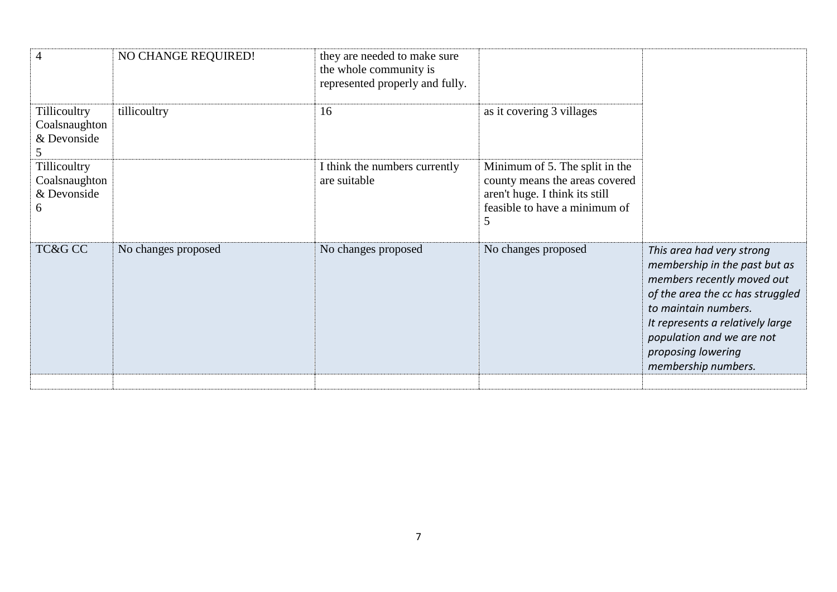| 4                                                 | NO CHANGE REQUIRED! | they are needed to make sure<br>the whole community is<br>represented properly and fully. |                                                                                                                                          |                                                                                                                                                                                                                                                                    |
|---------------------------------------------------|---------------------|-------------------------------------------------------------------------------------------|------------------------------------------------------------------------------------------------------------------------------------------|--------------------------------------------------------------------------------------------------------------------------------------------------------------------------------------------------------------------------------------------------------------------|
| Tillicoultry<br>Coalsnaughton<br>& Devonside      | tillicoultry        | 16                                                                                        | as it covering 3 villages                                                                                                                |                                                                                                                                                                                                                                                                    |
| Tillicoultry<br>Coalsnaughton<br>& Devonside<br>6 |                     | I think the numbers currently<br>are suitable                                             | Minimum of 5. The split in the<br>county means the areas covered<br>aren't huge. I think its still<br>feasible to have a minimum of<br>5 |                                                                                                                                                                                                                                                                    |
| TC&G CC                                           | No changes proposed | No changes proposed                                                                       | No changes proposed                                                                                                                      | This area had very strong<br>membership in the past but as<br>members recently moved out<br>of the area the cc has struggled<br>to maintain numbers.<br>It represents a relatively large<br>population and we are not<br>proposing lowering<br>membership numbers. |
|                                                   |                     |                                                                                           |                                                                                                                                          |                                                                                                                                                                                                                                                                    |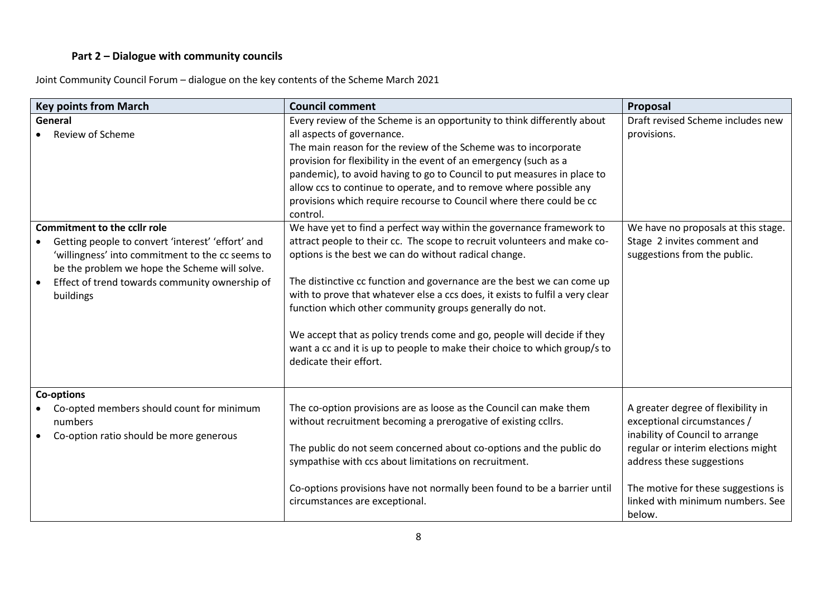## **Part 2 – Dialogue with community councils**

Joint Community Council Forum – dialogue on the key contents of the Scheme March 2021

| <b>Key points from March</b>                                                                                                                                                                                                                                 | <b>Council comment</b>                                                                                                                                                                                                                                                                                                                                                                                                                                                                                                                                                                                            | Proposal                                                                                                                                                                                                                                                     |
|--------------------------------------------------------------------------------------------------------------------------------------------------------------------------------------------------------------------------------------------------------------|-------------------------------------------------------------------------------------------------------------------------------------------------------------------------------------------------------------------------------------------------------------------------------------------------------------------------------------------------------------------------------------------------------------------------------------------------------------------------------------------------------------------------------------------------------------------------------------------------------------------|--------------------------------------------------------------------------------------------------------------------------------------------------------------------------------------------------------------------------------------------------------------|
| General<br>Review of Scheme                                                                                                                                                                                                                                  | Every review of the Scheme is an opportunity to think differently about<br>all aspects of governance.<br>The main reason for the review of the Scheme was to incorporate<br>provision for flexibility in the event of an emergency (such as a<br>pandemic), to avoid having to go to Council to put measures in place to<br>allow ccs to continue to operate, and to remove where possible any<br>provisions which require recourse to Council where there could be cc<br>control.                                                                                                                                | Draft revised Scheme includes new<br>provisions.                                                                                                                                                                                                             |
| <b>Commitment to the collr role</b><br>Getting people to convert 'interest' 'effort' and<br>'willingness' into commitment to the cc seems to<br>be the problem we hope the Scheme will solve.<br>Effect of trend towards community ownership of<br>buildings | We have yet to find a perfect way within the governance framework to<br>attract people to their cc. The scope to recruit volunteers and make co-<br>options is the best we can do without radical change.<br>The distinctive cc function and governance are the best we can come up<br>with to prove that whatever else a ccs does, it exists to fulfil a very clear<br>function which other community groups generally do not.<br>We accept that as policy trends come and go, people will decide if they<br>want a cc and it is up to people to make their choice to which group/s to<br>dedicate their effort. | We have no proposals at this stage.<br>Stage 2 invites comment and<br>suggestions from the public.                                                                                                                                                           |
| <b>Co-options</b><br>Co-opted members should count for minimum<br>numbers<br>Co-option ratio should be more generous                                                                                                                                         | The co-option provisions are as loose as the Council can make them<br>without recruitment becoming a prerogative of existing ccllrs.<br>The public do not seem concerned about co-options and the public do<br>sympathise with ccs about limitations on recruitment.<br>Co-options provisions have not normally been found to be a barrier until<br>circumstances are exceptional.                                                                                                                                                                                                                                | A greater degree of flexibility in<br>exceptional circumstances /<br>inability of Council to arrange<br>regular or interim elections might<br>address these suggestions<br>The motive for these suggestions is<br>linked with minimum numbers. See<br>below. |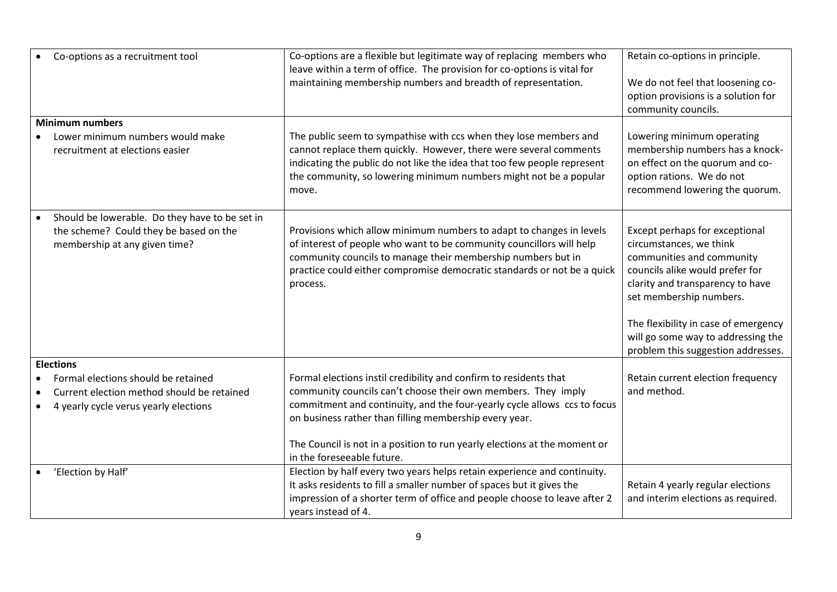| Co-options as a recruitment tool                                                                                           | Co-options are a flexible but legitimate way of replacing members who<br>leave within a term of office. The provision for co-options is vital for                                                                                                                                                   | Retain co-options in principle.                                                                                                                                                                                                                                                                              |
|----------------------------------------------------------------------------------------------------------------------------|-----------------------------------------------------------------------------------------------------------------------------------------------------------------------------------------------------------------------------------------------------------------------------------------------------|--------------------------------------------------------------------------------------------------------------------------------------------------------------------------------------------------------------------------------------------------------------------------------------------------------------|
|                                                                                                                            | maintaining membership numbers and breadth of representation.                                                                                                                                                                                                                                       | We do not feel that loosening co-<br>option provisions is a solution for<br>community councils.                                                                                                                                                                                                              |
| <b>Minimum numbers</b>                                                                                                     |                                                                                                                                                                                                                                                                                                     |                                                                                                                                                                                                                                                                                                              |
| Lower minimum numbers would make<br>recruitment at elections easier                                                        | The public seem to sympathise with ccs when they lose members and<br>cannot replace them quickly. However, there were several comments<br>indicating the public do not like the idea that too few people represent<br>the community, so lowering minimum numbers might not be a popular<br>move.    | Lowering minimum operating<br>membership numbers has a knock-<br>on effect on the quorum and co-<br>option rations. We do not<br>recommend lowering the quorum.                                                                                                                                              |
| Should be lowerable. Do they have to be set in<br>the scheme? Could they be based on the<br>membership at any given time?  | Provisions which allow minimum numbers to adapt to changes in levels<br>of interest of people who want to be community councillors will help<br>community councils to manage their membership numbers but in<br>practice could either compromise democratic standards or not be a quick<br>process. | Except perhaps for exceptional<br>circumstances, we think<br>communities and community<br>councils alike would prefer for<br>clarity and transparency to have<br>set membership numbers.<br>The flexibility in case of emergency<br>will go some way to addressing the<br>problem this suggestion addresses. |
| <b>Elections</b>                                                                                                           |                                                                                                                                                                                                                                                                                                     |                                                                                                                                                                                                                                                                                                              |
| Formal elections should be retained<br>Current election method should be retained<br>4 yearly cycle verus yearly elections | Formal elections instil credibility and confirm to residents that<br>community councils can't choose their own members. They imply<br>commitment and continuity, and the four-yearly cycle allows ccs to focus<br>on business rather than filling membership every year.                            | Retain current election frequency<br>and method.                                                                                                                                                                                                                                                             |
|                                                                                                                            | The Council is not in a position to run yearly elections at the moment or<br>in the foreseeable future.                                                                                                                                                                                             |                                                                                                                                                                                                                                                                                                              |
| 'Election by Half'                                                                                                         | Election by half every two years helps retain experience and continuity.<br>It asks residents to fill a smaller number of spaces but it gives the<br>impression of a shorter term of office and people choose to leave after 2<br>years instead of 4.                                               | Retain 4 yearly regular elections<br>and interim elections as required.                                                                                                                                                                                                                                      |